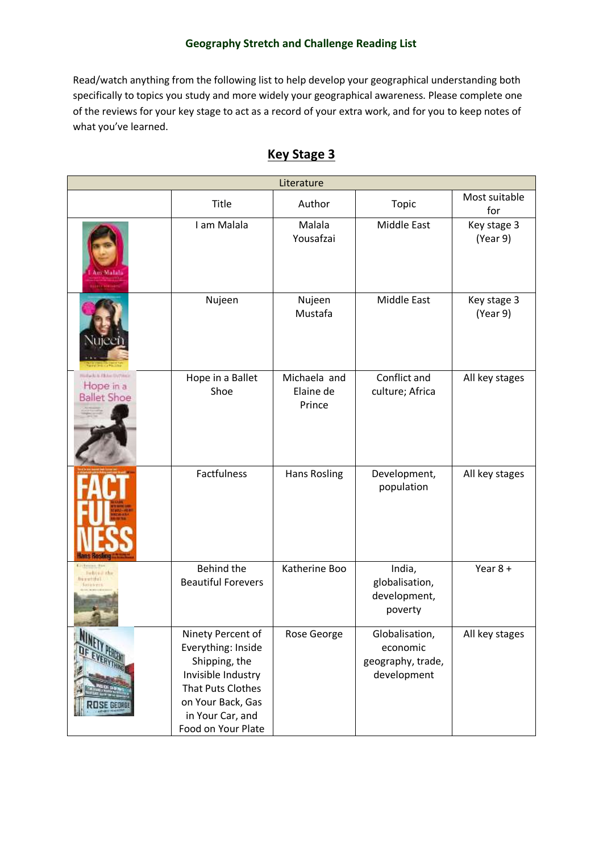Read/watch anything from the following list to help develop your geographical understanding both specifically to topics you study and more widely your geographical awareness. Please complete one of the reviews for your key stage to act as a record of your extra work, and for you to keep notes of what you've learned.

| Literature                                                            |                                                                                                                                                                    |                                     |                                                                |                         |  |
|-----------------------------------------------------------------------|--------------------------------------------------------------------------------------------------------------------------------------------------------------------|-------------------------------------|----------------------------------------------------------------|-------------------------|--|
|                                                                       | Title                                                                                                                                                              | Author                              | Topic                                                          | Most suitable<br>for    |  |
|                                                                       | I am Malala                                                                                                                                                        | Malala<br>Yousafzai                 | <b>Middle East</b>                                             | Key stage 3<br>(Year 9) |  |
|                                                                       | Nujeen                                                                                                                                                             | Nujeen<br>Mustafa                   | <b>Middle East</b>                                             | Key stage 3<br>(Year 9) |  |
| <b>Subable &amp; Hotel Durings</b><br>Hope in a<br><b>Ballet Shoe</b> | Hope in a Ballet<br>Shoe                                                                                                                                           | Michaela and<br>Elaine de<br>Prince | Conflict and<br>culture; Africa                                | All key stages          |  |
|                                                                       | Factfulness                                                                                                                                                        | <b>Hans Rosling</b>                 | Development,<br>population                                     | All key stages          |  |
|                                                                       | Behind the<br><b>Beautiful Forevers</b>                                                                                                                            | Katherine Boo                       | India,<br>globalisation,<br>development,<br>poverty            | Year $8 +$              |  |
| <b>NINF</b><br><b>LOSE GEORGE</b>                                     | Ninety Percent of<br>Everything: Inside<br>Shipping, the<br>Invisible Industry<br>That Puts Clothes<br>on Your Back, Gas<br>in Your Car, and<br>Food on Your Plate | Rose George                         | Globalisation,<br>economic<br>geography, trade,<br>development | All key stages          |  |

#### **Key Stage 3**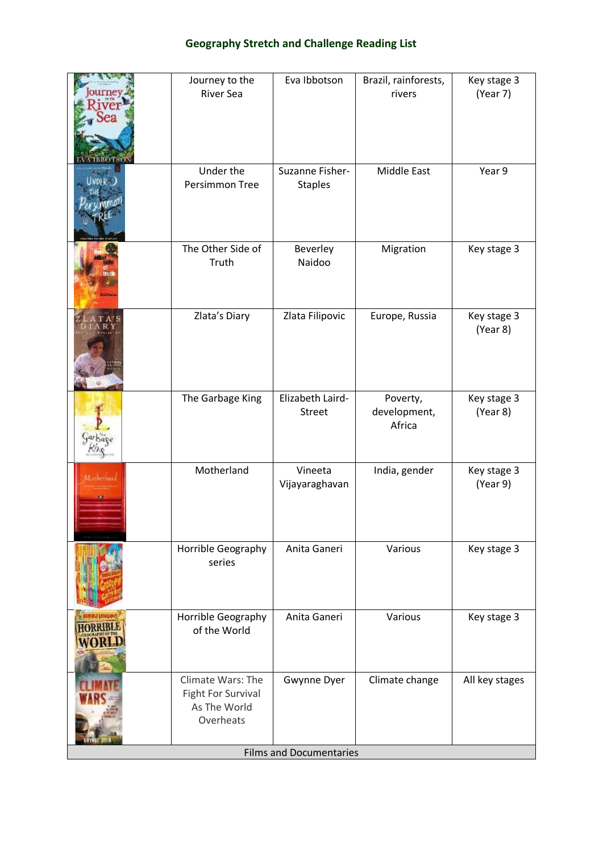|                                | Journey to the<br><b>River Sea</b>                                          | Eva Ibbotson                      | Brazil, rainforests,<br>rivers     | Key stage 3<br>(Year 7) |  |
|--------------------------------|-----------------------------------------------------------------------------|-----------------------------------|------------------------------------|-------------------------|--|
|                                | Under the<br>Persimmon Tree                                                 | Suzanne Fisher-<br><b>Staples</b> | <b>Middle East</b>                 | Year 9                  |  |
|                                | The Other Side of<br>Truth                                                  | Beverley<br>Naidoo                | Migration                          | Key stage 3             |  |
|                                | Zlata's Diary                                                               | Zlata Filipovic                   | Europe, Russia                     | Key stage 3<br>(Year 8) |  |
|                                | The Garbage King                                                            | Elizabeth Laird-<br>Street        | Poverty,<br>development,<br>Africa | Key stage 3<br>(Year 8) |  |
| Matheriana                     | Motherland                                                                  | Vineeta<br>Vijayaraghavan         | India, gender                      | Key stage 3<br>(Year 9) |  |
|                                | Horrible Geography<br>series                                                | Anita Ganeri                      | Various                            | Key stage 3             |  |
|                                | Horrible Geography<br>of the World                                          | Anita Ganeri                      | Various                            | Key stage 3             |  |
|                                | Climate Wars: The<br><b>Fight For Survival</b><br>As The World<br>Overheats | Gwynne Dyer                       | Climate change                     | All key stages          |  |
| <b>Films and Documentaries</b> |                                                                             |                                   |                                    |                         |  |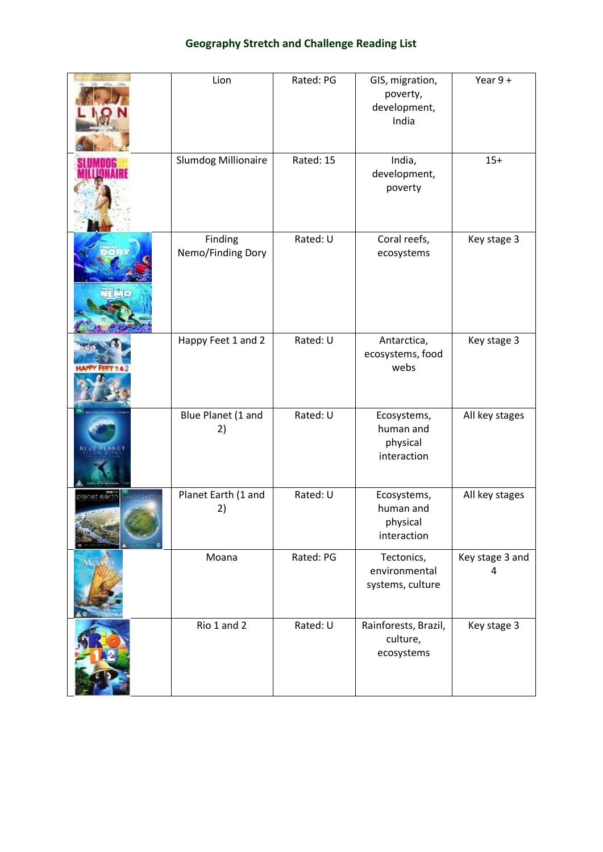|                   | Lion                         | Rated: PG | GIS, migration,<br>poverty,<br>development,<br>India | Year $9+$            |
|-------------------|------------------------------|-----------|------------------------------------------------------|----------------------|
|                   | Slumdog Millionaire          | Rated: 15 | India,<br>development,<br>poverty                    | $15+$                |
| TEMO              | Finding<br>Nemo/Finding Dory | Rated: U  | Coral reefs,<br>ecosystems                           | Key stage 3          |
|                   | Happy Feet 1 and 2           | Rated: U  | Antarctica,<br>ecosystems, food<br>webs              | Key stage 3          |
| <b>BEUT PEAKE</b> | Blue Planet (1 and<br>2)     | Rated: U  | Ecosystems,<br>human and<br>physical<br>interaction  | All key stages       |
| planet eart       | Planet Earth (1 and<br>2)    | Rated: U  | Ecosystems,<br>human and<br>physical<br>interaction  | All key stages       |
|                   | Moana                        | Rated: PG | Tectonics,<br>environmental<br>systems, culture      | Key stage 3 and<br>4 |
|                   | Rio 1 and 2                  | Rated: U  | Rainforests, Brazil,<br>culture,<br>ecosystems       | Key stage 3          |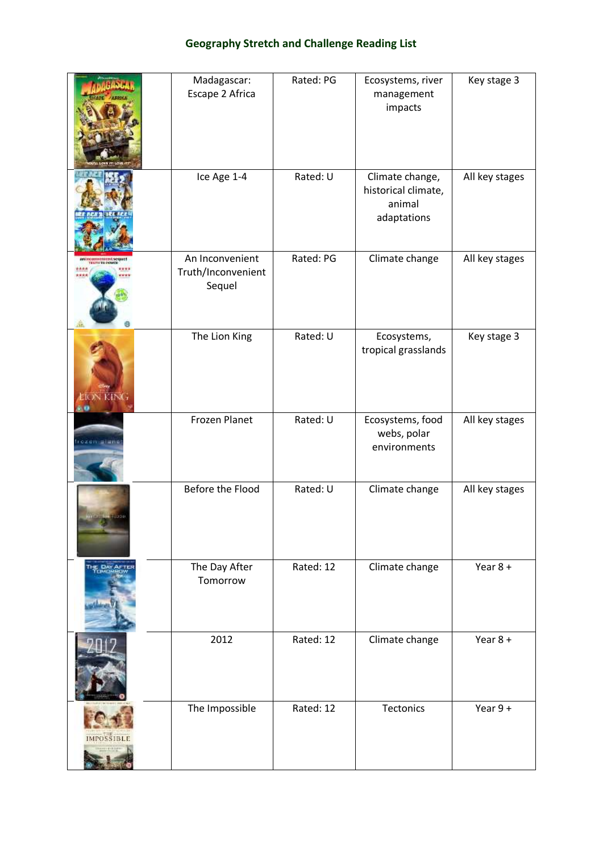|                          | Madagascar:<br>Escape 2 Africa                  | Rated: PG | Ecosystems, river<br>management<br>impacts                      | Key stage 3    |
|--------------------------|-------------------------------------------------|-----------|-----------------------------------------------------------------|----------------|
|                          | Ice Age 1-4                                     | Rated: U  | Climate change,<br>historical climate,<br>animal<br>adaptations | All key stages |
| K DET FOR OFFICER SORATE | An Inconvenient<br>Truth/Inconvenient<br>Sequel | Rated: PG | Climate change                                                  | All key stages |
| N KINK                   | The Lion King                                   | Rated: U  | Ecosystems,<br>tropical grasslands                              | Key stage 3    |
| ozen a                   | Frozen Planet                                   | Rated: U  | Ecosystems, food<br>webs, polar<br>environments                 | All key stages |
|                          | Before the Flood                                | Rated: U  | Climate change                                                  | All key stages |
| THE DAY AFT              | The Day After<br>Tomorrow                       | Rated: 12 | Climate change                                                  | Year $8 +$     |
|                          | 2012                                            | Rated: 12 | Climate change                                                  | Year $8 +$     |
|                          | The Impossible                                  | Rated: 12 | Tectonics                                                       | Year $9+$      |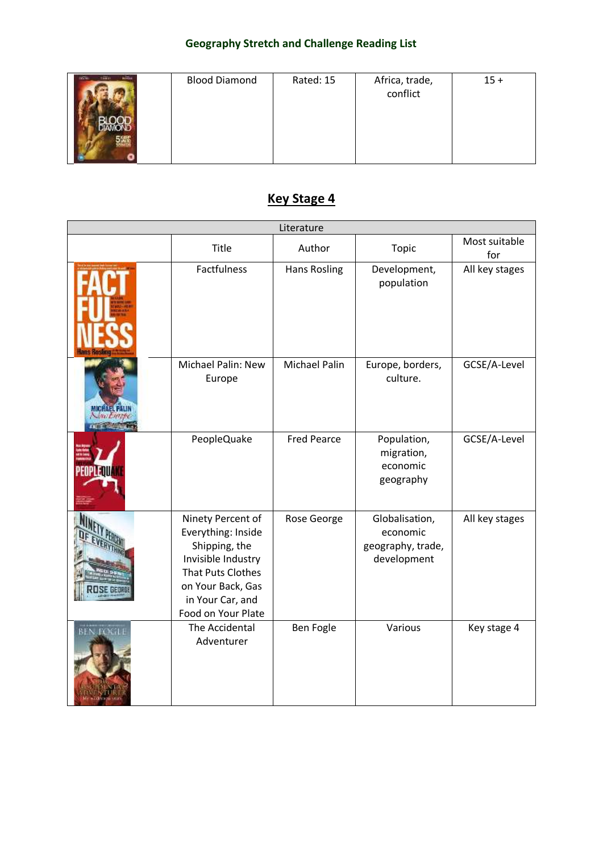| <b>Simon</b><br><b>Northern</b> | <b>Blood Diamond</b> | Rated: 15 | Africa, trade,<br>conflict | $15 +$ |
|---------------------------------|----------------------|-----------|----------------------------|--------|
|                                 |                      |           |                            |        |
|                                 |                      |           |                            |        |

# **Key Stage 4**

| Literature       |                                                                                                                                                                    |                     |                                                                |                      |  |
|------------------|--------------------------------------------------------------------------------------------------------------------------------------------------------------------|---------------------|----------------------------------------------------------------|----------------------|--|
|                  | Title                                                                                                                                                              | Author              | Topic                                                          | Most suitable<br>for |  |
|                  | Factfulness                                                                                                                                                        | <b>Hans Rosling</b> | Development,<br>population                                     | All key stages       |  |
| Newtwope         | Michael Palin: New<br>Europe                                                                                                                                       | Michael Palin       | Europe, borders,<br>culture.                                   | GCSE/A-Level         |  |
|                  | PeopleQuake                                                                                                                                                        | <b>Fred Pearce</b>  | Population,<br>migration,<br>economic<br>geography             | GCSE/A-Level         |  |
|                  | Ninety Percent of<br>Everything: Inside<br>Shipping, the<br>Invisible Industry<br>That Puts Clothes<br>on Your Back, Gas<br>in Your Car, and<br>Food on Your Plate | Rose George         | Globalisation,<br>economic<br>geography, trade,<br>development | All key stages       |  |
| <b>BEN FOGLE</b> | The Accidental<br>Adventurer                                                                                                                                       | <b>Ben Fogle</b>    | Various                                                        | Key stage 4          |  |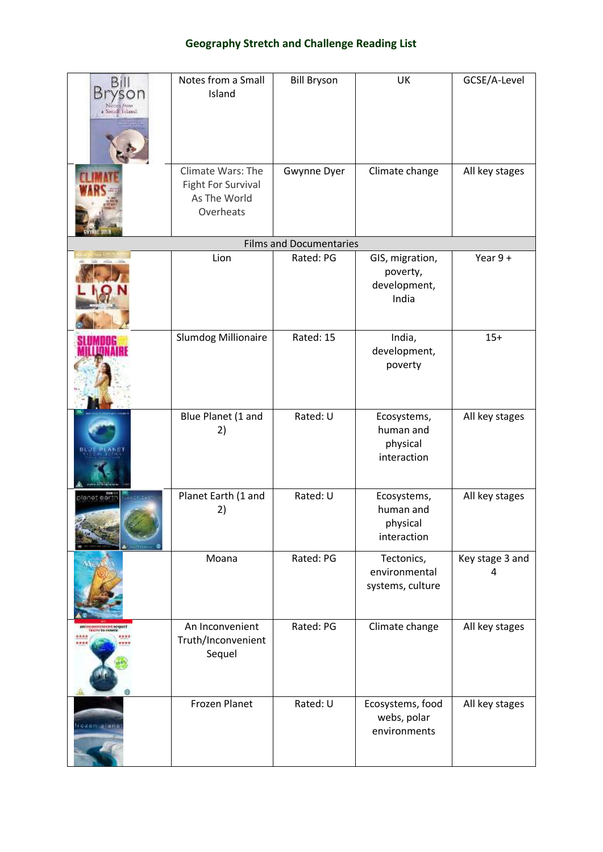| Bill<br>Вr<br>a Small Island | Notes from a Small<br>Island                                         | <b>Bill Bryson</b>             | UK                                                   | GCSE/A-Level         |
|------------------------------|----------------------------------------------------------------------|--------------------------------|------------------------------------------------------|----------------------|
|                              | Climate Wars: The<br>Fight For Survival<br>As The World<br>Overheats | Gwynne Dyer                    | Climate change                                       | All key stages       |
|                              |                                                                      | <b>Films and Documentaries</b> |                                                      |                      |
|                              | Lion                                                                 | Rated: PG                      | GIS, migration,<br>poverty,<br>development,<br>India | Year $9+$            |
|                              | Slumdog Millionaire                                                  | Rated: 15                      | India,<br>development,<br>poverty                    | $15+$                |
|                              | Blue Planet (1 and<br>2)                                             | Rated: U                       | Ecosystems,<br>human and<br>physical<br>interaction  | All key stages       |
| planet eart                  | Planet Earth (1 and<br>2)                                            | Rated: U                       | Ecosystems,<br>human and<br>physical<br>interaction  | All key stages       |
|                              | Moana                                                                | Rated: PG                      | Tectonics,<br>environmental<br>systems, culture      | Key stage 3 and<br>4 |
| anincomenient sequel         | An Inconvenient<br>Truth/Inconvenient<br>Sequel                      | Rated: PG                      | Climate change                                       | All key stages       |
|                              | <b>Frozen Planet</b>                                                 | Rated: U                       | Ecosystems, food<br>webs, polar<br>environments      | All key stages       |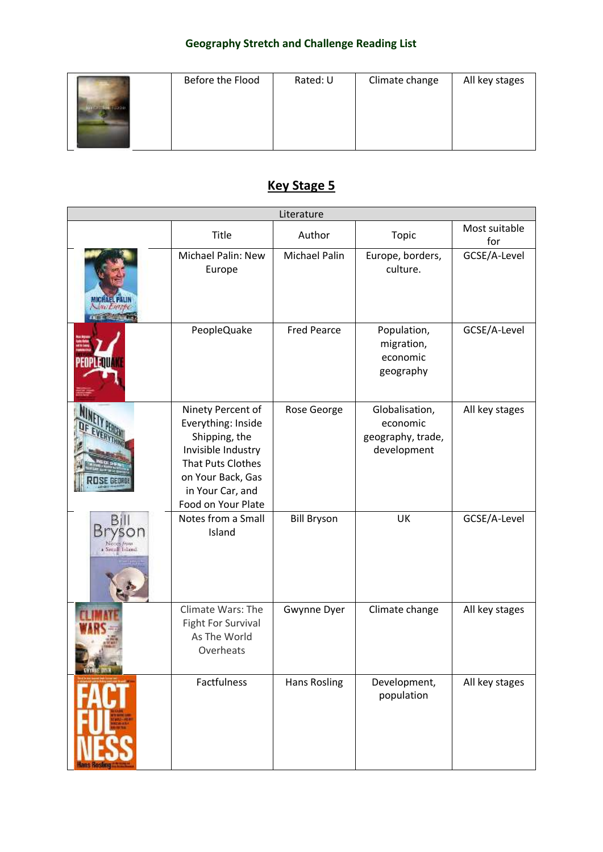| Before the Flood | Rated: U | Climate change | All key stages |
|------------------|----------|----------------|----------------|
|                  |          |                |                |

# **Key Stage 5**

| Literature           |                                                                                                                                                                           |                     |                                                                |                      |  |
|----------------------|---------------------------------------------------------------------------------------------------------------------------------------------------------------------------|---------------------|----------------------------------------------------------------|----------------------|--|
|                      | Title                                                                                                                                                                     | Author              | Topic                                                          | Most suitable<br>for |  |
|                      | Michael Palin: New<br>Europe                                                                                                                                              | Michael Palin       | Europe, borders,<br>culture.                                   | GCSE/A-Level         |  |
|                      | PeopleQuake                                                                                                                                                               | <b>Fred Pearce</b>  | Population,<br>migration,<br>economic<br>geography             | GCSE/A-Level         |  |
|                      | Ninety Percent of<br>Everything: Inside<br>Shipping, the<br>Invisible Industry<br><b>That Puts Clothes</b><br>on Your Back, Gas<br>in Your Car, and<br>Food on Your Plate | Rose George         | Globalisation,<br>economic<br>geography, trade,<br>development | All key stages       |  |
| BП<br>a Small Island | Notes from a Small<br>Island                                                                                                                                              | <b>Bill Bryson</b>  | UK                                                             | GCSE/A-Level         |  |
|                      | <b>Climate Wars: The</b><br><b>Fight For Survival</b><br>As The World<br>Overheats                                                                                        | Gwynne Dyer         | Climate change                                                 | All key stages       |  |
|                      | Factfulness                                                                                                                                                               | <b>Hans Rosling</b> | Development,<br>population                                     | All key stages       |  |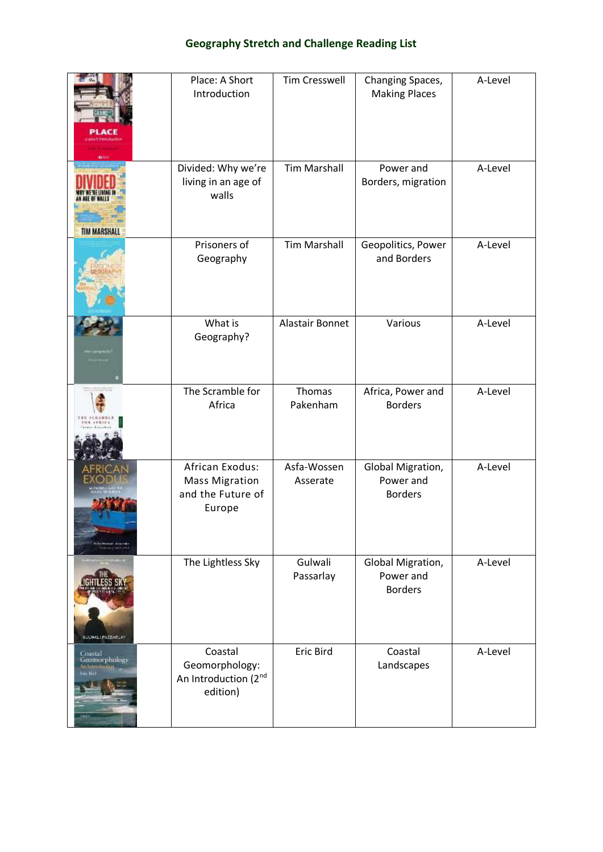|                                                               | Place: A Short<br>Introduction                                          | <b>Tim Cresswell</b>    | Changing Spaces,<br><b>Making Places</b>         | A-Level |
|---------------------------------------------------------------|-------------------------------------------------------------------------|-------------------------|--------------------------------------------------|---------|
| <b>TIM MARSHALL</b>                                           | Divided: Why we're<br>living in an age of<br>walls                      | <b>Tim Marshall</b>     | Power and<br>Borders, migration                  | A-Level |
|                                                               | Prisoners of<br>Geography                                               | <b>Tim Marshall</b>     | Geopolitics, Power<br>and Borders                | A-Level |
|                                                               | What is<br>Geography?                                                   | Alastair Bonnet         | Various                                          | A-Level |
|                                                               | The Scramble for<br>Africa                                              | Thomas<br>Pakenham      | Africa, Power and<br><b>Borders</b>              | A-Level |
| an Assist<br>Lister and children in auto-                     | African Exodus:<br><b>Mass Migration</b><br>and the Future of<br>Europe | Asfa-Wossen<br>Asserate | Global Migration,<br>Power and<br><b>Borders</b> | A-Level |
| <b>HILL-HOLD</b><br>GULWALI PASSARLAR                         | The Lightless Sky                                                       | Gulwali<br>Passarlay    | Global Migration,<br>Power and<br><b>Borders</b> | A-Level |
| Coastal<br>Geomorphology<br>An Introduction<br><b>English</b> | Coastal<br>Geomorphology:<br>An Introduction (2nd<br>edition)           | <b>Eric Bird</b>        | Coastal<br>Landscapes                            | A-Level |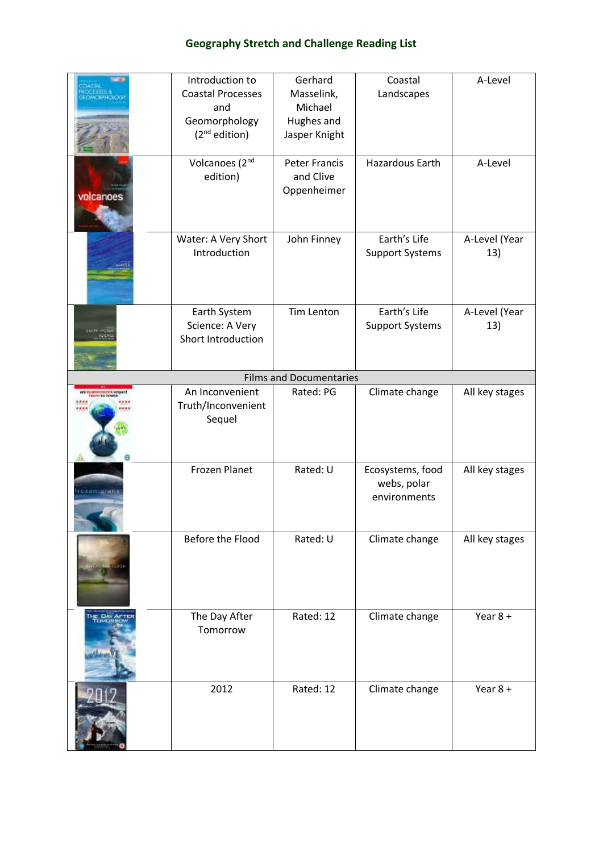|                                         | Introduction to<br><b>Coastal Processes</b>           | Gerhard<br>Masselink,                            | Coastal<br>Landscapes                           | A-Level              |
|-----------------------------------------|-------------------------------------------------------|--------------------------------------------------|-------------------------------------------------|----------------------|
|                                         | and<br>Geomorphology<br>(2 <sup>nd</sup> edition)     | Michael<br>Hughes and<br>Jasper Knight           |                                                 |                      |
| volcanoes                               | Volcanoes (2nd<br>edition)                            | <b>Peter Francis</b><br>and Clive<br>Oppenheimer | Hazardous Earth                                 | A-Level              |
|                                         | Water: A Very Short<br>Introduction                   | John Finney                                      | Earth's Life<br><b>Support Systems</b>          | A-Level (Year<br>13) |
|                                         | Earth System<br>Science: A Very<br>Short Introduction | Tim Lenton                                       | Earth's Life<br><b>Support Systems</b>          | A-Level (Year<br>13) |
|                                         |                                                       | <b>Films and Documentaries</b>                   |                                                 |                      |
| <b>IN THE OFFICE AND IN THE CONDUCT</b> | An Inconvenient<br>Truth/Inconvenient<br>Sequel       | Rated: PG                                        | Climate change                                  | All key stages       |
| <b>CZEN EIRR</b>                        | <b>Frozen Planet</b>                                  | Rated: U                                         | Ecosystems, food<br>webs, polar<br>environments | All key stages       |
|                                         | Before the Flood                                      | Rated: U                                         | Climate change                                  | All key stages       |
|                                         | The Day After<br>Tomorrow                             | Rated: 12                                        | Climate change                                  | Year $8 +$           |
|                                         | 2012                                                  | Rated: 12                                        | Climate change                                  | Year $8 +$           |